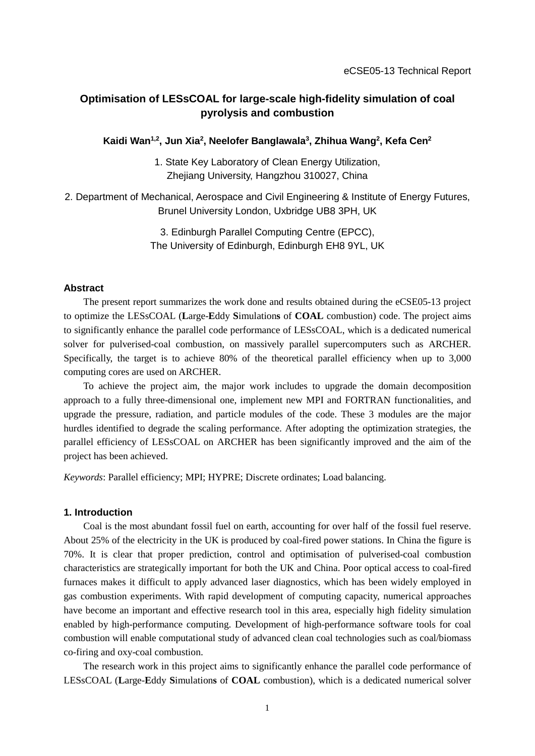# **Optimisation of LESsCOAL for large-scale high-fidelity simulation of coal pyrolysis and combustion**

# **Kaidi Wan1,2, Jun Xia2 , Neelofer Banglawala3 , Zhihua Wang2 , Kefa Cen2**

- 1. State Key Laboratory of Clean Energy Utilization, Zhejiang University, Hangzhou 310027, China
- 2. Department of Mechanical, Aerospace and Civil Engineering & Institute of Energy Futures, Brunel University London, Uxbridge UB8 3PH, UK

3. Edinburgh Parallel Computing Centre (EPCC), The University of Edinburgh, Edinburgh EH8 9YL, UK

### **Abstract**

The present report summarizes the work done and results obtained during the eCSE05-13 project to optimize the LESsCOAL (**L**arge-**E**ddy **S**imulation**s** of **COAL** combustion) code. The project aims to significantly enhance the parallel code performance of LESsCOAL, which is a dedicated numerical solver for pulverised-coal combustion, on massively parallel supercomputers such as ARCHER. Specifically, the target is to achieve 80% of the theoretical parallel efficiency when up to 3,000 computing cores are used on ARCHER.

To achieve the project aim, the major work includes to upgrade the domain decomposition approach to a fully three-dimensional one, implement new MPI and FORTRAN functionalities, and upgrade the pressure, radiation, and particle modules of the code. These 3 modules are the major hurdles identified to degrade the scaling performance. After adopting the optimization strategies, the parallel efficiency of LESsCOAL on ARCHER has been significantly improved and the aim of the project has been achieved.

*Keywords*: Parallel efficiency; MPI; HYPRE; Discrete ordinates; Load balancing.

### **1. Introduction**

Coal is the most abundant fossil fuel on earth, accounting for over half of the fossil fuel reserve. About 25% of the electricity in the UK is produced by coal-fired power stations. In China the figure is 70%. It is clear that proper prediction, control and optimisation of pulverised-coal combustion characteristics are strategically important for both the UK and China. Poor optical access to coal-fired furnaces makes it difficult to apply advanced laser diagnostics, which has been widely employed in gas combustion experiments. With rapid development of computing capacity, numerical approaches have become an important and effective research tool in this area, especially high fidelity simulation enabled by high-performance computing. Development of high-performance software tools for coal combustion will enable computational study of advanced clean coal technologies such as coal/biomass co-firing and oxy-coal combustion.

The research work in this project aims to significantly enhance the parallel code performance of LESsCOAL (**L**arge-**E**ddy **S**imulation**s** of **COAL** combustion), which is a dedicated numerical solver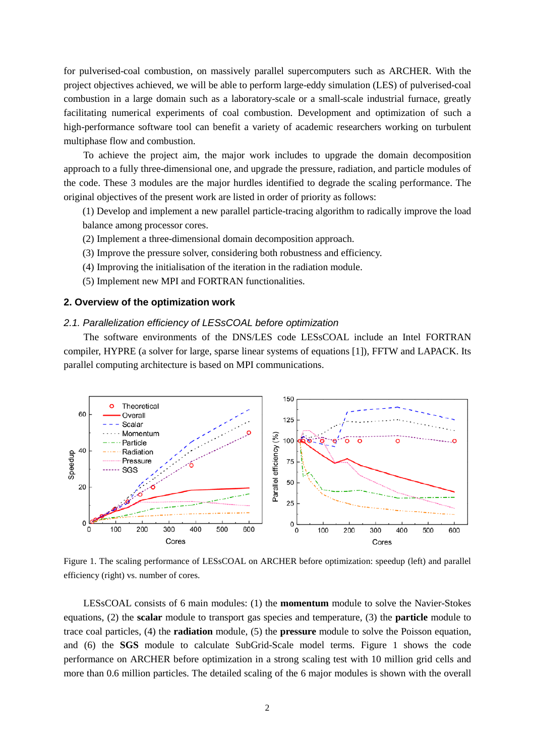for pulverised-coal combustion, on massively parallel supercomputers such as ARCHER. With the project objectives achieved, we will be able to perform large-eddy simulation (LES) of pulverised-coal combustion in a large domain such as a laboratory-scale or a small-scale industrial furnace, greatly facilitating numerical experiments of coal combustion. Development and optimization of such a high-performance software tool can benefit a variety of academic researchers working on turbulent multiphase flow and combustion.

To achieve the project aim, the major work includes to upgrade the domain decomposition approach to a fully three-dimensional one, and upgrade the pressure, radiation, and particle modules of the code. These 3 modules are the major hurdles identified to degrade the scaling performance. The original objectives of the present work are listed in order of priority as follows:

(1) Develop and implement a new parallel particle-tracing algorithm to radically improve the load balance among processor cores.

- (2) Implement a three-dimensional domain decomposition approach.
- (3) Improve the pressure solver, considering both robustness and efficiency.
- (4) Improving the initialisation of the iteration in the radiation module.
- (5) Implement new MPI and FORTRAN functionalities.

# **2. Overview of the optimization work**

# *2.1. Parallelization efficiency of LESsCOAL before optimization*

The software environments of the DNS/LES code LESsCOAL include an Intel FORTRAN compiler, HYPRE (a solver for large, sparse linear systems of equations [\[1\]](#page-16-0)), FFTW and LAPACK. Its parallel computing architecture is based on MPI communications.



<span id="page-1-0"></span>Figure 1. The scaling performance of LESsCOAL on ARCHER before optimization: speedup (left) and parallel efficiency (right) vs. number of cores.

LESsCOAL consists of 6 main modules: (1) the **momentum** module to solve the Navier-Stokes equations, (2) the **scalar** module to transport gas species and temperature, (3) the **particle** module to trace coal particles, (4) the **radiation** module, (5) the **pressure** module to solve the Poisson equation, and (6) the **SGS** module to calculate SubGrid-Scale model terms. Figure [1](#page-1-0) shows the code performance on ARCHER before optimization in a strong scaling test with 10 million grid cells and more than 0.6 million particles. The detailed scaling of the 6 major modules is shown with the overall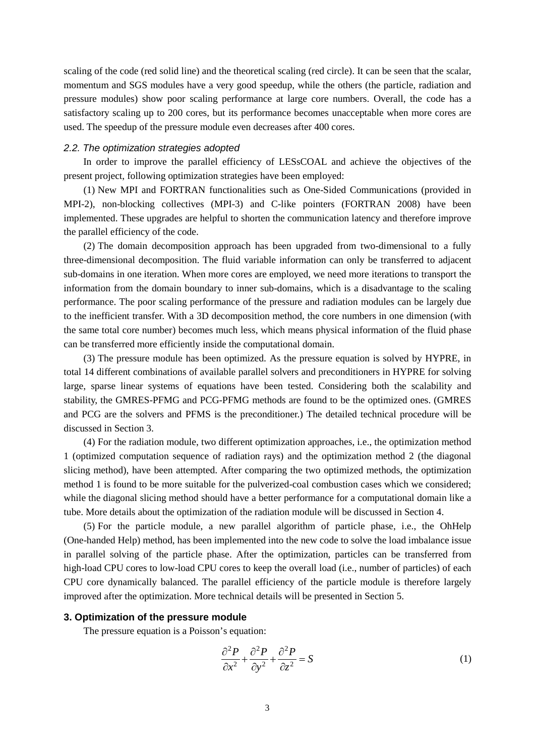scaling of the code (red solid line) and the theoretical scaling (red circle). It can be seen that the scalar, momentum and SGS modules have a very good speedup, while the others (the particle, radiation and pressure modules) show poor scaling performance at large core numbers. Overall, the code has a satisfactory scaling up to 200 cores, but its performance becomes unacceptable when more cores are used. The speedup of the pressure module even decreases after 400 cores.

#### *2.2. The optimization strategies adopted*

In order to improve the parallel efficiency of LESsCOAL and achieve the objectives of the present project, following optimization strategies have been employed:

(1) New MPI and FORTRAN functionalities such as One-Sided Communications (provided in MPI-2), non-blocking collectives (MPI-3) and C-like pointers (FORTRAN 2008) have been implemented. These upgrades are helpful to shorten the communication latency and therefore improve the parallel efficiency of the code.

(2) The domain decomposition approach has been upgraded from two-dimensional to a fully three-dimensional decomposition. The fluid variable information can only be transferred to adjacent sub-domains in one iteration. When more cores are employed, we need more iterations to transport the information from the domain boundary to inner sub-domains, which is a disadvantage to the scaling performance. The poor scaling performance of the pressure and radiation modules can be largely due to the inefficient transfer. With a 3D decomposition method, the core numbers in one dimension (with the same total core number) becomes much less, which means physical information of the fluid phase can be transferred more efficiently inside the computational domain.

(3) The pressure module has been optimized. As the pressure equation is solved by HYPRE, in total 14 different combinations of available parallel solvers and preconditioners in HYPRE for solving large, sparse linear systems of equations have been tested. Considering both the scalability and stability, the GMRES-PFMG and PCG-PFMG methods are found to be the optimized ones. (GMRES and PCG are the solvers and PFMS is the preconditioner.) The detailed technical procedure will be discussed in Section [3.](#page-2-0)

(4) For the radiation module, two different optimization approaches, i.e., the optimization method 1 (optimized computation sequence of radiation rays) and the optimization method 2 (the diagonal slicing method), have been attempted. After comparing the two optimized methods, the optimization method 1 is found to be more suitable for the pulverized-coal combustion cases which we considered; while the diagonal slicing method should have a better performance for a computational domain like a tube. More details about the optimization of the radiation module will be discussed in Section [4.](#page-4-0)

(5) For the particle module, a new parallel algorithm of particle phase, i.e., the OhHelp (One-handed Help) method, has been implemented into the new code to solve the load imbalance issue in parallel solving of the particle phase. After the optimization, particles can be transferred from high-load CPU cores to low-load CPU cores to keep the overall load (i.e., number of particles) of each CPU core dynamically balanced. The parallel efficiency of the particle module is therefore largely improved after the optimization. More technical details will be presented in Section [5.](#page-10-0)

### <span id="page-2-0"></span>**3. Optimization of the pressure module**

The pressure equation is a Poisson's equation:

$$
\frac{\partial^2 P}{\partial x^2} + \frac{\partial^2 P}{\partial y^2} + \frac{\partial^2 P}{\partial z^2} = S \tag{1}
$$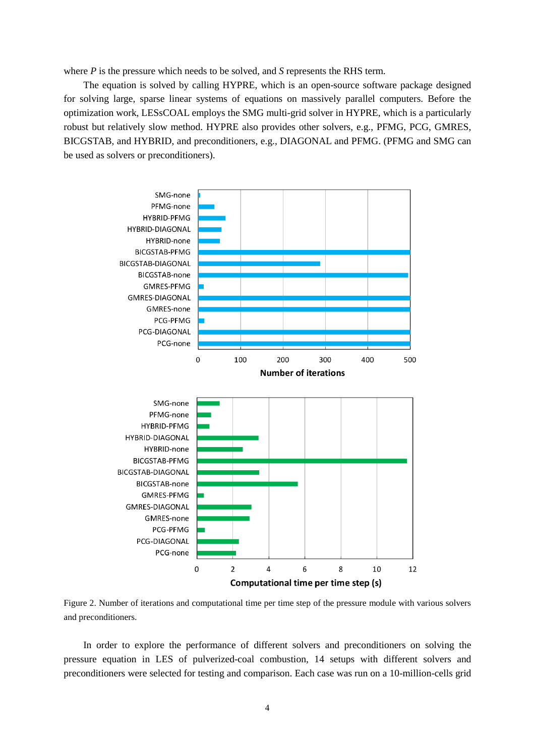where *P* is the pressure which needs to be solved, and *S* represents the RHS term.

The equation is solved by calling HYPRE, which is an open-source software package designed for solving large, sparse linear systems of equations on massively parallel computers. Before the optimization work, LESsCOAL employs the SMG multi-grid solver in HYPRE, which is a particularly robust but relatively slow method. HYPRE also provides other solvers, e.g., PFMG, PCG, GMRES, BICGSTAB, and HYBRID, and preconditioners, e.g., DIAGONAL and PFMG. (PFMG and SMG can be used as solvers or preconditioners).



<span id="page-3-0"></span>Figure 2. Number of iterations and computational time per time step of the pressure module with various solvers and preconditioners.

In order to explore the performance of different solvers and preconditioners on solving the pressure equation in LES of pulverized-coal combustion, 14 setups with different solvers and preconditioners were selected for testing and comparison. Each case was run on a 10-million-cells grid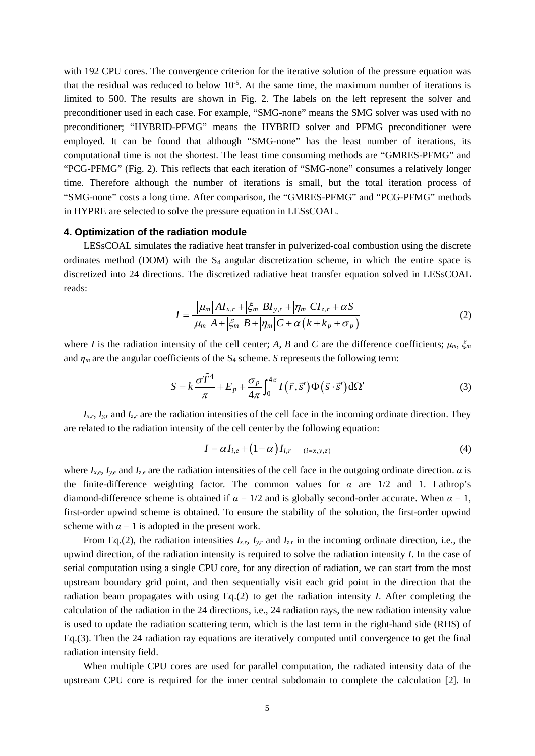with 192 CPU cores. The convergence criterion for the iterative solution of the pressure equation was that the residual was reduced to below  $10^{-5}$ . At the same time, the maximum number of iterations is limited to 500. The results are shown in Fig. [2.](#page-3-0) The labels on the left represent the solver and preconditioner used in each case. For example, "SMG-none" means the SMG solver was used with no preconditioner; "HYBRID-PFMG" means the HYBRID solver and PFMG preconditioner were employed. It can be found that although "SMG-none" has the least number of iterations, its computational time is not the shortest. The least time consuming methods are "GMRES-PFMG" and "PCG-PFMG" (Fig. [2\)](#page-3-0). This reflects that each iteration of "SMG-none" consumes a relatively longer time. Therefore although the number of iterations is small, but the total iteration process of "SMG-none" costs a long time. After comparison, the "GMRES-PFMG" and "PCG-PFMG" methods in HYPRE are selected to solve the pressure equation in LESsCOAL.

## <span id="page-4-0"></span>**4. Optimization of the radiation module**

LESsCOAL simulates the radiative heat transfer in pulverized-coal combustion using the discrete ordinates method (DOM) with the  $S_4$  angular discretization scheme, in which the entire space is discretized into 24 directions. The discretized radiative heat transfer equation solved in LESsCOAL reads:

$$
I = \frac{|\mu_m| A I_{x,r} + |\xi_m| B I_{y,r} + |\eta_m| C I_{z,r} + \alpha S}{|\mu_m| A + |\xi_m| B + |\eta_m| C + \alpha \left(k + k_p + \sigma_p\right)}
$$
(2)

where *I* is the radiation intensity of the cell center; *A*, *B* and *C* are the difference coefficients;  $\mu_m$ ,  $\zeta_m$ and  $\eta_m$  are the angular coefficients of the S<sub>4</sub> scheme. *S* represents the following term:

$$
S = k \frac{\sigma \tilde{T}^4}{\pi} + E_p + \frac{\sigma_p}{4\pi} \int_0^{4\pi} I(\vec{r}, \vec{s}') \Phi(\vec{s} \cdot \vec{s}') d\Omega'
$$
 (3)

 $I_{x,r}$ ,  $I_{y,r}$  and  $I_{z,r}$  are the radiation intensities of the cell face in the incoming ordinate direction. They are related to the radiation intensity of the cell center by the following equation:

$$
I = \alpha I_{i,e} + (1 - \alpha) I_{i,r} \qquad (i=x,y,z)
$$
 (4)

where  $I_{x,e}$ ,  $I_{y,e}$  and  $I_{z,e}$  are the radiation intensities of the cell face in the outgoing ordinate direction. *α* is the finite-difference weighting factor. The common values for  $\alpha$  are  $1/2$  and 1. Lathrop's diamond-difference scheme is obtained if  $\alpha = 1/2$  and is globally second-order accurate. When  $\alpha = 1$ , first-order upwind scheme is obtained. To ensure the stability of the solution, the first-order upwind scheme with  $\alpha = 1$  is adopted in the present work.

From Eq.(2), the radiation intensities  $I_{x,r}$ ,  $I_{y,r}$  and  $I_{z,r}$  in the incoming ordinate direction, i.e., the upwind direction, of the radiation intensity is required to solve the radiation intensity *I*. In the case of serial computation using a single CPU core, for any direction of radiation, we can start from the most upstream boundary grid point, and then sequentially visit each grid point in the direction that the radiation beam propagates with using Eq.(2) to get the radiation intensity *I*. After completing the calculation of the radiation in the 24 directions, i.e., 24 radiation rays, the new radiation intensity value is used to update the radiation scattering term, which is the last term in the right-hand side (RHS) of Eq.(3). Then the 24 radiation ray equations are iteratively computed until convergence to get the final radiation intensity field.

When multiple CPU cores are used for parallel computation, the radiated intensity data of the upstream CPU core is required for the inner central subdomain to complete the calculation [\[2\]](#page-16-1). In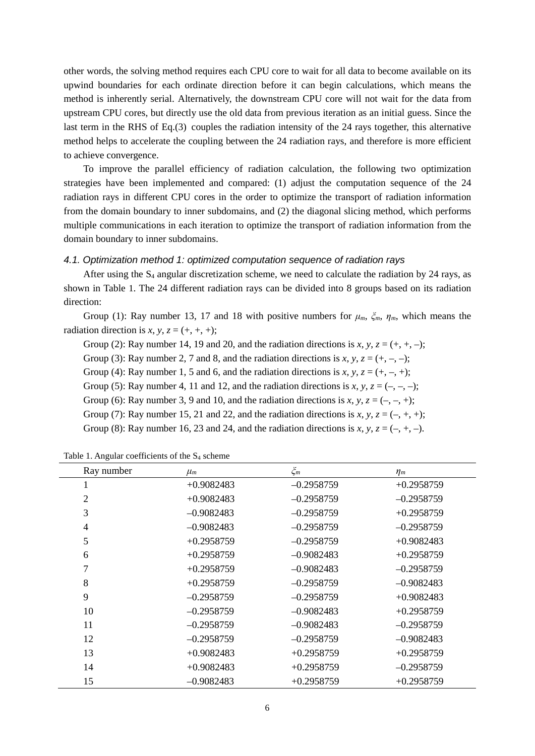other words, the solving method requires each CPU core to wait for all data to become available on its upwind boundaries for each ordinate direction before it can begin calculations, which means the method is inherently serial. Alternatively, the downstream CPU core will not wait for the data from upstream CPU cores, but directly use the old data from previous iteration as an initial guess. Since the last term in the RHS of Eq.(3) couples the radiation intensity of the 24 rays together, this alternative method helps to accelerate the coupling between the 24 radiation rays, and therefore is more efficient to achieve convergence.

To improve the parallel efficiency of radiation calculation, the following two optimization strategies have been implemented and compared: (1) adjust the computation sequence of the 24 radiation rays in different CPU cores in the order to optimize the transport of radiation information from the domain boundary to inner subdomains, and (2) the diagonal slicing method, which performs multiple communications in each iteration to optimize the transport of radiation information from the domain boundary to inner subdomains.

# <span id="page-5-1"></span>*4.1. Optimization method 1: optimized computation sequence of radiation rays*

After using the  $S_4$  angular discretization scheme, we need to calculate the radiation by 24 rays, as shown in Table [1.](#page-5-0) The 24 different radiation rays can be divided into 8 groups based on its radiation direction:

Group (1): Ray number 13, 17 and 18 with positive numbers for  $\mu_m$ ,  $\zeta_m$ ,  $\eta_m$ , which means the radiation direction is *x*, *y*,  $z = (+, +, +)$ ;

Group (2): Ray number 14, 19 and 20, and the radiation directions is  $x, y, z = (+, +, -);$ 

- Group (3): Ray number 2, 7 and 8, and the radiation directions is  $x, y, z = (+, -, -);$
- Group (4): Ray number 1, 5 and 6, and the radiation directions is *x*,  $y$ ,  $z = (+, -, +);$
- Group (5): Ray number 4, 11 and 12, and the radiation directions is *x*, *y*,  $z = (-, -, -)$ ;
- Group (6): Ray number 3, 9 and 10, and the radiation directions is *x*, *y*, *z* =  $(-, -, +)$ ;
- Group (7): Ray number 15, 21 and 22, and the radiation directions is  $x, y, z = (-, +, +);$

Group (8): Ray number 16, 23 and 24, and the radiation directions is *x*, *y*,  $z = (-, +, -)$ .

| Ray number     | $\mu_m$      | $\zeta_m$    | $\eta_m$     |
|----------------|--------------|--------------|--------------|
| 1              | $+0.9082483$ | $-0.2958759$ | $+0.2958759$ |
| $\overline{2}$ | $+0.9082483$ | $-0.2958759$ | $-0.2958759$ |
| 3              | $-0.9082483$ | $-0.2958759$ | $+0.2958759$ |
| $\overline{4}$ | $-0.9082483$ | $-0.2958759$ | $-0.2958759$ |
| 5              | $+0.2958759$ | $-0.2958759$ | $+0.9082483$ |
| 6              | $+0.2958759$ | $-0.9082483$ | $+0.2958759$ |
| 7              | $+0.2958759$ | $-0.9082483$ | $-0.2958759$ |
| 8              | $+0.2958759$ | $-0.2958759$ | $-0.9082483$ |
| 9              | $-0.2958759$ | $-0.2958759$ | $+0.9082483$ |
| 10             | $-0.2958759$ | $-0.9082483$ | $+0.2958759$ |
| 11             | $-0.2958759$ | $-0.9082483$ | $-0.2958759$ |
| 12             | $-0.2958759$ | $-0.2958759$ | $-0.9082483$ |
| 13             | $+0.9082483$ | $+0.2958759$ | $+0.2958759$ |
| 14             | $+0.9082483$ | $+0.2958759$ | $-0.2958759$ |
| 15             | $-0.9082483$ | $+0.2958759$ | $+0.2958759$ |

<span id="page-5-0"></span>Table 1. Angular coefficients of the  $S_4$  scheme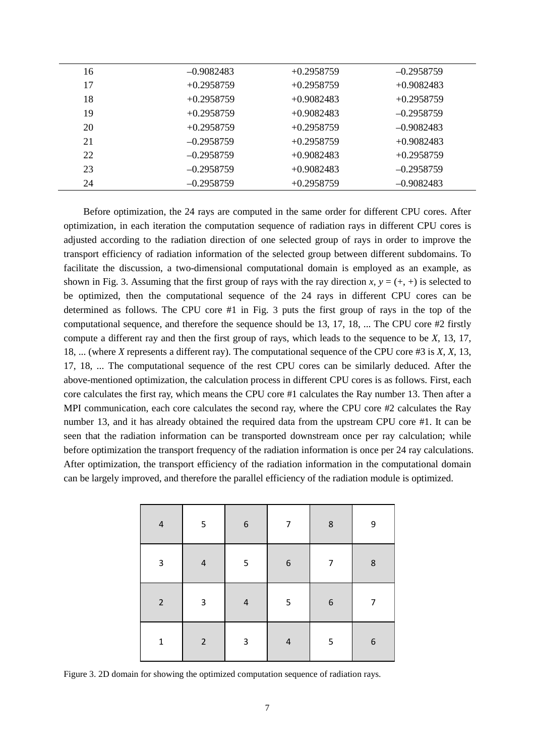| 16 | $-0.9082483$ | $+0.2958759$ | $-0.2958759$ |
|----|--------------|--------------|--------------|
| 17 | $+0.2958759$ | $+0.2958759$ | $+0.9082483$ |
| 18 | $+0.2958759$ | $+0.9082483$ | $+0.2958759$ |
| 19 | $+0.2958759$ | $+0.9082483$ | $-0.2958759$ |
| 20 | $+0.2958759$ | $+0.2958759$ | $-0.9082483$ |
| 21 | $-0.2958759$ | $+0.2958759$ | $+0.9082483$ |
| 22 | $-0.2958759$ | $+0.9082483$ | $+0.2958759$ |
| 23 | $-0.2958759$ | $+0.9082483$ | $-0.2958759$ |
| 24 | $-0.2958759$ | $+0.2958759$ | $-0.9082483$ |

Before optimization, the 24 rays are computed in the same order for different CPU cores. After optimization, in each iteration the computation sequence of radiation rays in different CPU cores is adjusted according to the radiation direction of one selected group of rays in order to improve the transport efficiency of radiation information of the selected group between different subdomains. To facilitate the discussion, a two-dimensional computational domain is employed as an example, as shown in Fig. [3.](#page-6-0) Assuming that the first group of rays with the ray direction *x*,  $y = (+, +)$  is selected to be optimized, then the computational sequence of the 24 rays in different CPU cores can be determined as follows. The CPU core #1 in Fig. [3](#page-6-0) puts the first group of rays in the top of the computational sequence, and therefore the sequence should be 13, 17, 18, ... The CPU core #2 firstly compute a different ray and then the first group of rays, which leads to the sequence to be *X*, 13, 17, 18, ... (where *X* represents a different ray). The computational sequence of the CPU core #3 is *X*, *X*, 13, 17, 18, ... The computational sequence of the rest CPU cores can be similarly deduced. After the above-mentioned optimization, the calculation process in different CPU cores is as follows. First, each core calculates the first ray, which means the CPU core #1 calculates the Ray number 13. Then after a MPI communication, each core calculates the second ray, where the CPU core #2 calculates the Ray number 13, and it has already obtained the required data from the upstream CPU core #1. It can be seen that the radiation information can be transported downstream once per ray calculation; while before optimization the transport frequency of the radiation information is once per 24 ray calculations. After optimization, the transport efficiency of the radiation information in the computational domain can be largely improved, and therefore the parallel efficiency of the radiation module is optimized.

| $\pmb{4}$      | $\mathsf S$ | $\boldsymbol{6}$          | 7                        | $\,$ 8 $\,$ | 9                |
|----------------|-------------|---------------------------|--------------------------|-------------|------------------|
| 3              | $\sqrt{4}$  | 5                         | $\boldsymbol{6}$         | 7           | $\bf 8$          |
| $\overline{2}$ | $\mathsf 3$ | $\sqrt{4}$                | $\mathsf S$              | $\,$ 6 $\,$ | 7                |
| $\mathbf 1$    | $\mathbf 2$ | $\ensuremath{\mathsf{3}}$ | $\overline{\mathcal{L}}$ | 5           | $\boldsymbol{6}$ |

<span id="page-6-0"></span>Figure 3. 2D domain for showing the optimized computation sequence of radiation rays.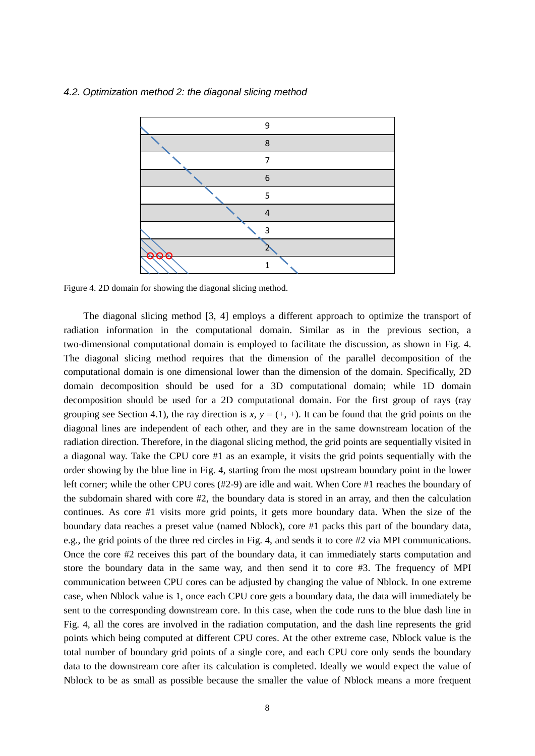#### <span id="page-7-1"></span>*4.2. Optimization method 2: the diagonal slicing method*



<span id="page-7-0"></span>Figure 4. 2D domain for showing the diagonal slicing method.

The diagonal slicing method [\[3,](#page-16-2) [4\]](#page-16-3) employs a different approach to optimize the transport of radiation information in the computational domain. Similar as in the previous section, a two-dimensional computational domain is employed to facilitate the discussion, as shown in Fig. [4.](#page-7-0) The diagonal slicing method requires that the dimension of the parallel decomposition of the computational domain is one dimensional lower than the dimension of the domain. Specifically, 2D domain decomposition should be used for a 3D computational domain; while 1D domain decomposition should be used for a 2D computational domain. For the first group of rays (ray grouping see Section [4.1\)](#page-5-1), the ray direction is  $x, y = (+, +)$ . It can be found that the grid points on the diagonal lines are independent of each other, and they are in the same downstream location of the radiation direction. Therefore, in the diagonal slicing method, the grid points are sequentially visited in a diagonal way. Take the CPU core #1 as an example, it visits the grid points sequentially with the order showing by the blue line in Fig. [4,](#page-7-0) starting from the most upstream boundary point in the lower left corner; while the other CPU cores (#2-9) are idle and wait. When Core #1 reaches the boundary of the subdomain shared with core #2, the boundary data is stored in an array, and then the calculation continues. As core #1 visits more grid points, it gets more boundary data. When the size of the boundary data reaches a preset value (named Nblock), core #1 packs this part of the boundary data, e.g., the grid points of the three red circles in Fig. [4,](#page-7-0) and sends it to core #2 via MPI communications. Once the core #2 receives this part of the boundary data, it can immediately starts computation and store the boundary data in the same way, and then send it to core #3. The frequency of MPI communication between CPU cores can be adjusted by changing the value of Nblock. In one extreme case, when Nblock value is 1, once each CPU core gets a boundary data, the data will immediately be sent to the corresponding downstream core. In this case, when the code runs to the blue dash line in Fig. [4,](#page-7-0) all the cores are involved in the radiation computation, and the dash line represents the grid points which being computed at different CPU cores. At the other extreme case, Nblock value is the total number of boundary grid points of a single core, and each CPU core only sends the boundary data to the downstream core after its calculation is completed. Ideally we would expect the value of Nblock to be as small as possible because the smaller the value of Nblock means a more frequent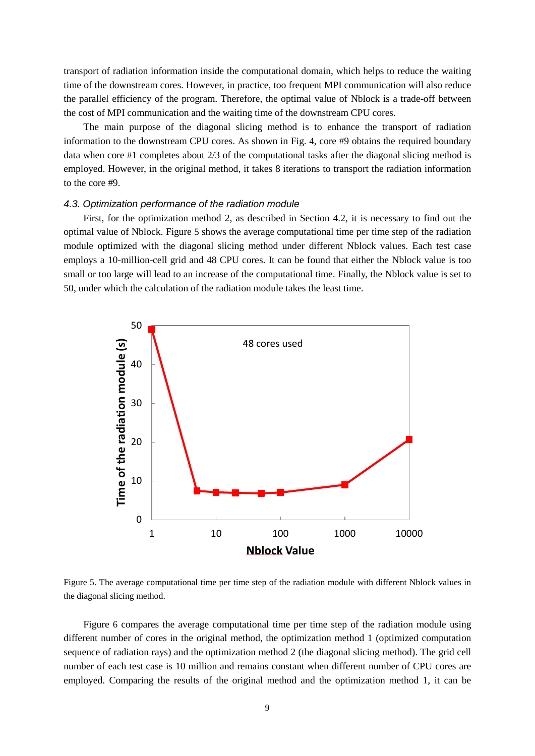transport of radiation information inside the computational domain, which helps to reduce the waiting time of the downstream cores. However, in practice, too frequent MPI communication will also reduce the parallel efficiency of the program. Therefore, the optimal value of Nblock is a trade-off between the cost of MPI communication and the waiting time of the downstream CPU cores.

The main purpose of the diagonal slicing method is to enhance the transport of radiation information to the downstream CPU cores. As shown in Fig. [4,](#page-7-0) core #9 obtains the required boundary data when core #1 completes about 2/3 of the computational tasks after the diagonal slicing method is employed. However, in the original method, it takes 8 iterations to transport the radiation information to the core #9.

### *4.3. Optimization performance of the radiation module*

First, for the optimization method 2, as described in Section [4.2,](#page-7-1) it is necessary to find out the optimal value of Nblock. Figure [5](#page-8-0) shows the average computational time per time step of the radiation module optimized with the diagonal slicing method under different Nblock values. Each test case employs a 10-million-cell grid and 48 CPU cores. It can be found that either the Nblock value is too small or too large will lead to an increase of the computational time. Finally, the Nblock value is set to 50, under which the calculation of the radiation module takes the least time.



<span id="page-8-0"></span>Figure 5. The average computational time per time step of the radiation module with different Nblock values in the diagonal slicing method.

Figure [6](#page-9-0) compares the average computational time per time step of the radiation module using different number of cores in the original method, the optimization method 1 (optimized computation sequence of radiation rays) and the optimization method 2 (the diagonal slicing method). The grid cell number of each test case is 10 million and remains constant when different number of CPU cores are employed. Comparing the results of the original method and the optimization method 1, it can be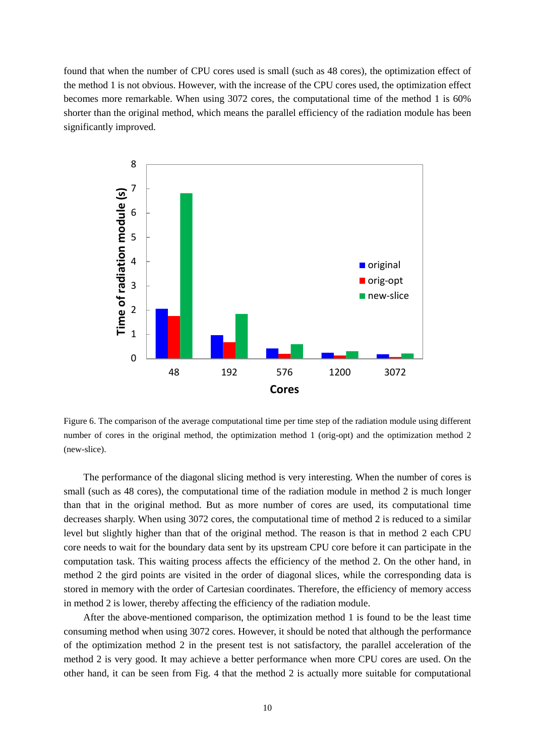found that when the number of CPU cores used is small (such as 48 cores), the optimization effect of the method 1 is not obvious. However, with the increase of the CPU cores used, the optimization effect becomes more remarkable. When using 3072 cores, the computational time of the method 1 is 60% shorter than the original method, which means the parallel efficiency of the radiation module has been significantly improved.



<span id="page-9-0"></span>Figure 6. The comparison of the average computational time per time step of the radiation module using different number of cores in the original method, the optimization method 1 (orig-opt) and the optimization method 2 (new-slice).

The performance of the diagonal slicing method is very interesting. When the number of cores is small (such as 48 cores), the computational time of the radiation module in method 2 is much longer than that in the original method. But as more number of cores are used, its computational time decreases sharply. When using 3072 cores, the computational time of method 2 is reduced to a similar level but slightly higher than that of the original method. The reason is that in method 2 each CPU core needs to wait for the boundary data sent by its upstream CPU core before it can participate in the computation task. This waiting process affects the efficiency of the method 2. On the other hand, in method 2 the gird points are visited in the order of diagonal slices, while the corresponding data is stored in memory with the order of Cartesian coordinates. Therefore, the efficiency of memory access in method 2 is lower, thereby affecting the efficiency of the radiation module.

After the above-mentioned comparison, the optimization method 1 is found to be the least time consuming method when using 3072 cores. However, it should be noted that although the performance of the optimization method 2 in the present test is not satisfactory, the parallel acceleration of the method 2 is very good. It may achieve a better performance when more CPU cores are used. On the other hand, it can be seen from Fig. [4](#page-7-0) that the method 2 is actually more suitable for computational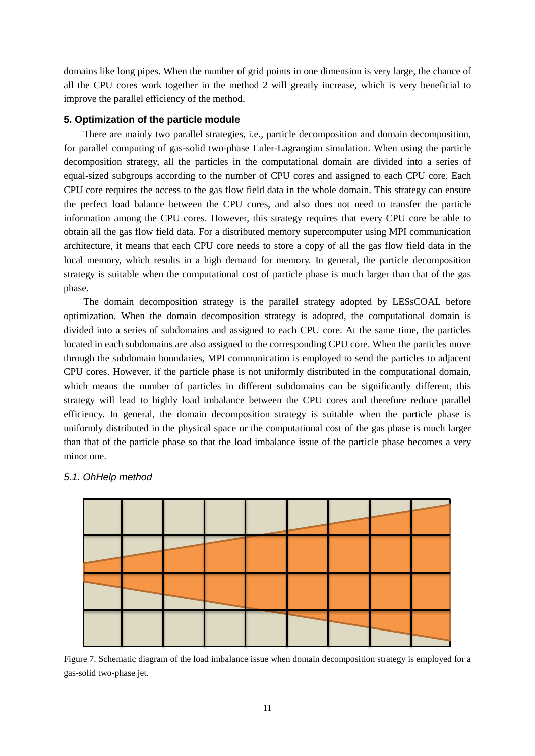domains like long pipes. When the number of grid points in one dimension is very large, the chance of all the CPU cores work together in the method 2 will greatly increase, which is very beneficial to improve the parallel efficiency of the method.

### <span id="page-10-0"></span>**5. Optimization of the particle module**

There are mainly two parallel strategies, i.e., particle decomposition and domain decomposition, for parallel computing of gas-solid two-phase Euler-Lagrangian simulation. When using the particle decomposition strategy, all the particles in the computational domain are divided into a series of equal-sized subgroups according to the number of CPU cores and assigned to each CPU core. Each CPU core requires the access to the gas flow field data in the whole domain. This strategy can ensure the perfect load balance between the CPU cores, and also does not need to transfer the particle information among the CPU cores. However, this strategy requires that every CPU core be able to obtain all the gas flow field data. For a distributed memory supercomputer using MPI communication architecture, it means that each CPU core needs to store a copy of all the gas flow field data in the local memory, which results in a high demand for memory. In general, the particle decomposition strategy is suitable when the computational cost of particle phase is much larger than that of the gas phase.

The domain decomposition strategy is the parallel strategy adopted by LESsCOAL before optimization. When the domain decomposition strategy is adopted, the computational domain is divided into a series of subdomains and assigned to each CPU core. At the same time, the particles located in each subdomains are also assigned to the corresponding CPU core. When the particles move through the subdomain boundaries, MPI communication is employed to send the particles to adjacent CPU cores. However, if the particle phase is not uniformly distributed in the computational domain, which means the number of particles in different subdomains can be significantly different, this strategy will lead to highly load imbalance between the CPU cores and therefore reduce parallel efficiency. In general, the domain decomposition strategy is suitable when the particle phase is uniformly distributed in the physical space or the computational cost of the gas phase is much larger than that of the particle phase so that the load imbalance issue of the particle phase becomes a very minor one.



# *5.1. OhHelp method*

<span id="page-10-1"></span>Figure 7. Schematic diagram of the load imbalance issue when domain decomposition strategy is employed for a gas-solid two-phase jet.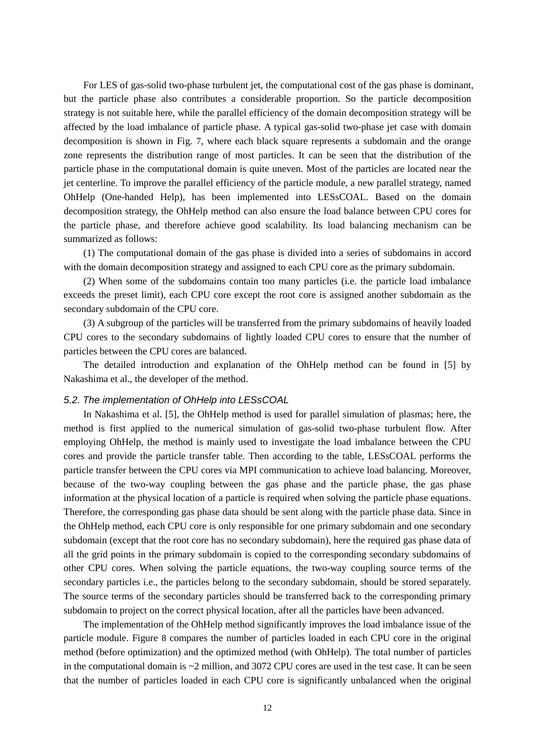For LES of gas-solid two-phase turbulent jet, the computational cost of the gas phase is dominant, but the particle phase also contributes a considerable proportion. So the particle decomposition strategy is not suitable here, while the parallel efficiency of the domain decomposition strategy will be affected by the load imbalance of particle phase. A typical gas-solid two-phase jet case with domain decomposition is shown in Fig. [7,](#page-10-1) where each black square represents a subdomain and the orange zone represents the distribution range of most particles. It can be seen that the distribution of the particle phase in the computational domain is quite uneven. Most of the particles are located near the jet centerline. To improve the parallel efficiency of the particle module, a new parallel strategy, named OhHelp (One-handed Help), has been implemented into LESsCOAL. Based on the domain decomposition strategy, the OhHelp method can also ensure the load balance between CPU cores for the particle phase, and therefore achieve good scalability. Its load balancing mechanism can be summarized as follows:

(1) The computational domain of the gas phase is divided into a series of subdomains in accord with the domain decomposition strategy and assigned to each CPU core as the primary subdomain.

(2) When some of the subdomains contain too many particles (i.e. the particle load imbalance exceeds the preset limit), each CPU core except the root core is assigned another subdomain as the secondary subdomain of the CPU core.

(3) A subgroup of the particles will be transferred from the primary subdomains of heavily loaded CPU cores to the secondary subdomains of lightly loaded CPU cores to ensure that the number of particles between the CPU cores are balanced.

The detailed introduction and explanation of the OhHelp method can be found in [\[5\]](#page-16-4) by Nakashima et al., the developer of the method.

### *5.2. The implementation of OhHelp into LESsCOAL*

In Nakashima et al. [\[5\]](#page-16-4), the OhHelp method is used for parallel simulation of plasmas; here, the method is first applied to the numerical simulation of gas-solid two-phase turbulent flow. After employing OhHelp, the method is mainly used to investigate the load imbalance between the CPU cores and provide the particle transfer table. Then according to the table, LESsCOAL performs the particle transfer between the CPU cores via MPI communication to achieve load balancing. Moreover, because of the two-way coupling between the gas phase and the particle phase, the gas phase information at the physical location of a particle is required when solving the particle phase equations. Therefore, the corresponding gas phase data should be sent along with the particle phase data. Since in the OhHelp method, each CPU core is only responsible for one primary subdomain and one secondary subdomain (except that the root core has no secondary subdomain), here the required gas phase data of all the grid points in the primary subdomain is copied to the corresponding secondary subdomains of other CPU cores. When solving the particle equations, the two-way coupling source terms of the secondary particles i.e., the particles belong to the secondary subdomain, should be stored separately. The source terms of the secondary particles should be transferred back to the corresponding primary subdomain to project on the correct physical location, after all the particles have been advanced.

The implementation of the OhHelp method significantly improves the load imbalance issue of the particle module. Figure [8](#page-12-0) compares the number of particles loaded in each CPU core in the original method (before optimization) and the optimized method (with OhHelp). The total number of particles in the computational domain is  $\sim$ 2 million, and 3072 CPU cores are used in the test case. It can be seen that the number of particles loaded in each CPU core is significantly unbalanced when the original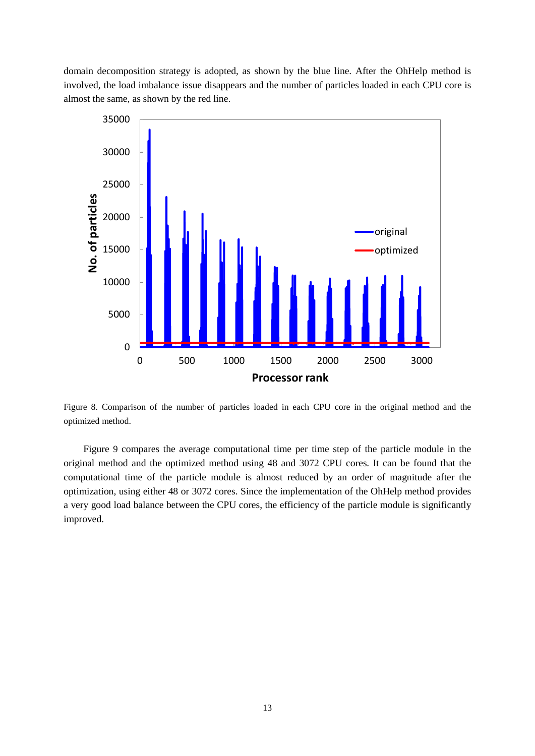domain decomposition strategy is adopted, as shown by the blue line. After the OhHelp method is involved, the load imbalance issue disappears and the number of particles loaded in each CPU core is almost the same, as shown by the red line.



<span id="page-12-0"></span>Figure 8. Comparison of the number of particles loaded in each CPU core in the original method and the optimized method.

Figure [9](#page-13-0) compares the average computational time per time step of the particle module in the original method and the optimized method using 48 and 3072 CPU cores. It can be found that the computational time of the particle module is almost reduced by an order of magnitude after the optimization, using either 48 or 3072 cores. Since the implementation of the OhHelp method provides a very good load balance between the CPU cores, the efficiency of the particle module is significantly improved.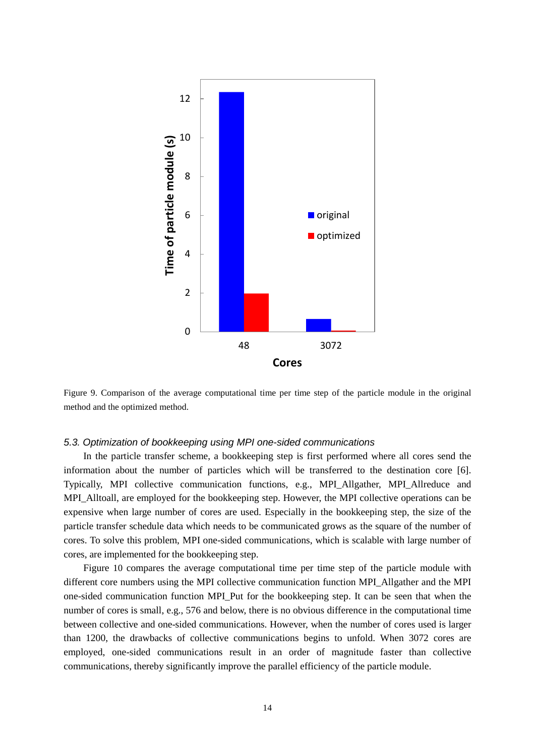

<span id="page-13-0"></span>Figure 9. Comparison of the average computational time per time step of the particle module in the original method and the optimized method.

### *5.3. Optimization of bookkeeping using MPI one-sided communications*

In the particle transfer scheme, a bookkeeping step is first performed where all cores send the information about the number of particles which will be transferred to the destination core [\[6\]](#page-16-5). Typically, MPI collective communication functions, e.g., MPI\_Allgather, MPI\_Allreduce and MPI\_Alltoall, are employed for the bookkeeping step. However, the MPI collective operations can be expensive when large number of cores are used. Especially in the bookkeeping step, the size of the particle transfer schedule data which needs to be communicated grows as the square of the number of cores. To solve this problem, MPI one-sided communications, which is scalable with large number of cores, are implemented for the bookkeeping step.

Figure [10](#page-14-0) compares the average computational time per time step of the particle module with different core numbers using the MPI collective communication function MPI\_Allgather and the MPI one-sided communication function MPI\_Put for the bookkeeping step. It can be seen that when the number of cores is small, e.g., 576 and below, there is no obvious difference in the computational time between collective and one-sided communications. However, when the number of cores used is larger than 1200, the drawbacks of collective communications begins to unfold. When 3072 cores are employed, one-sided communications result in an order of magnitude faster than collective communications, thereby significantly improve the parallel efficiency of the particle module.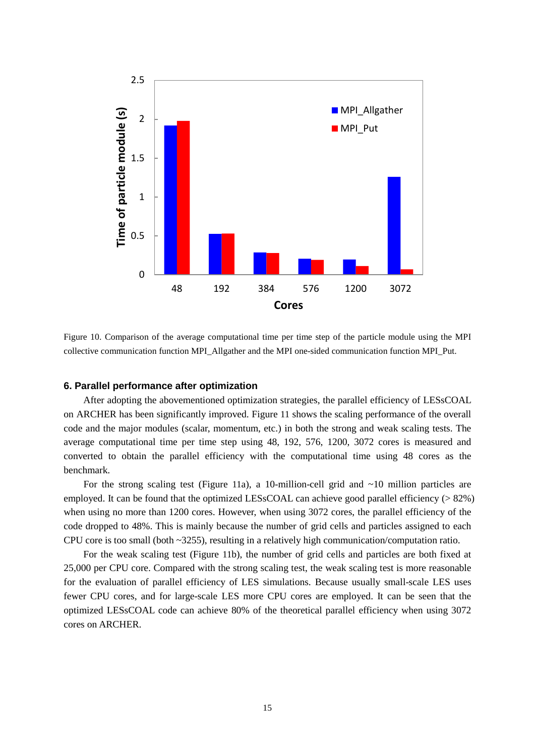

<span id="page-14-0"></span>Figure 10. Comparison of the average computational time per time step of the particle module using the MPI collective communication function MPI\_Allgather and the MPI one-sided communication function MPI\_Put.

#### **6. Parallel performance after optimization**

After adopting the abovementioned optimization strategies, the parallel efficiency of LESsCOAL on ARCHER has been significantly improved. Figure [11](#page-15-0) shows the scaling performance of the overall code and the major modules (scalar, momentum, etc.) in both the strong and weak scaling tests. The average computational time per time step using 48, 192, 576, 1200, 3072 cores is measured and converted to obtain the parallel efficiency with the computational time using 48 cores as the benchmark.

For the strong scaling test (Figure [11a](#page-15-0)), a 10-million-cell grid and ~10 million particles are employed. It can be found that the optimized LESsCOAL can achieve good parallel efficiency ( $> 82\%$ ) when using no more than 1200 cores. However, when using 3072 cores, the parallel efficiency of the code dropped to 48%. This is mainly because the number of grid cells and particles assigned to each CPU core is too small (both ~3255), resulting in a relatively high communication/computation ratio.

For the weak scaling test (Figure [11b](#page-15-0)), the number of grid cells and particles are both fixed at 25,000 per CPU core. Compared with the strong scaling test, the weak scaling test is more reasonable for the evaluation of parallel efficiency of LES simulations. Because usually small-scale LES uses fewer CPU cores, and for large-scale LES more CPU cores are employed. It can be seen that the optimized LESsCOAL code can achieve 80% of the theoretical parallel efficiency when using 3072 cores on ARCHER.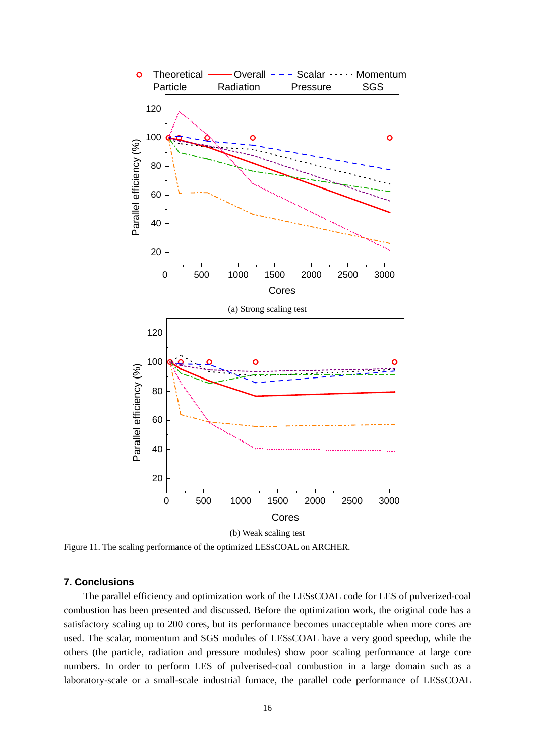

(b) Weak scaling test

<span id="page-15-0"></span>Figure 11. The scaling performance of the optimized LESsCOAL on ARCHER.

# **7. Conclusions**

The parallel efficiency and optimization work of the LESsCOAL code for LES of pulverized-coal combustion has been presented and discussed. Before the optimization work, the original code has a satisfactory scaling up to 200 cores, but its performance becomes unacceptable when more cores are used. The scalar, momentum and SGS modules of LESsCOAL have a very good speedup, while the others (the particle, radiation and pressure modules) show poor scaling performance at large core numbers. In order to perform LES of pulverised-coal combustion in a large domain such as a laboratory-scale or a small-scale industrial furnace, the parallel code performance of LESsCOAL